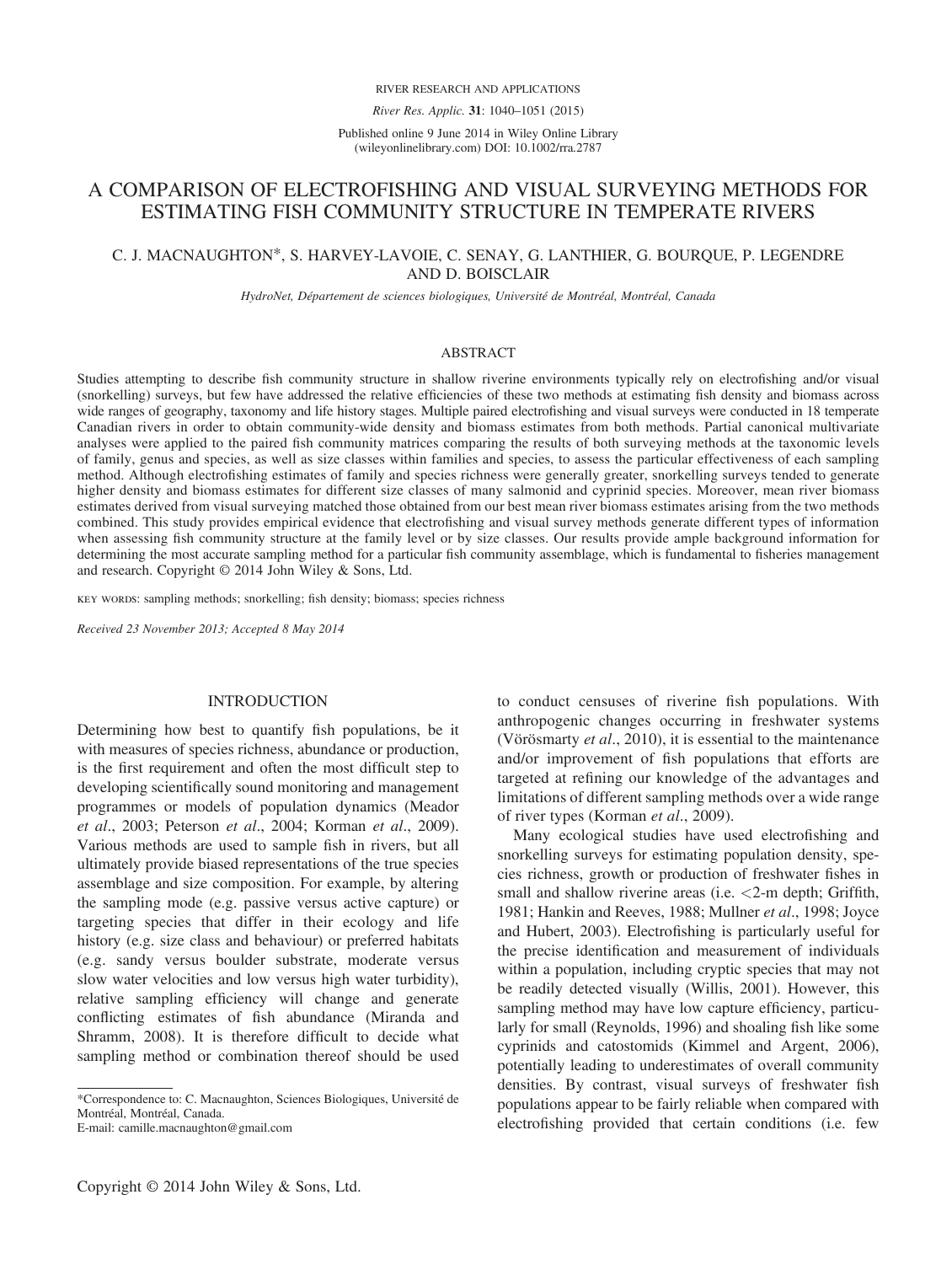RIVER RESEARCH AND APPLICATIONS

River Res. Applic. 31: 1040–1051 (2015)

Published online 9 June 2014 in Wiley Online Library (wileyonlinelibrary.com) DOI: 10.1002/rra.2787

# A COMPARISON OF ELECTROFISHING AND VISUAL SURVEYING METHODS FOR ESTIMATING FISH COMMUNITY STRUCTURE IN TEMPERATE RIVERS

## C. J. MACNAUGHTON\*, S. HARVEY-LAVOIE, C. SENAY, G. LANTHIER, G. BOURQUE, P. LEGENDRE AND D. BOISCLAIR

HydroNet, Département de sciences biologiques, Université de Montréal, Montréal, Canada

#### ABSTRACT

Studies attempting to describe fish community structure in shallow riverine environments typically rely on electrofishing and/or visual (snorkelling) surveys, but few have addressed the relative efficiencies of these two methods at estimating fish density and biomass across wide ranges of geography, taxonomy and life history stages. Multiple paired electrofishing and visual surveys were conducted in 18 temperate Canadian rivers in order to obtain community-wide density and biomass estimates from both methods. Partial canonical multivariate analyses were applied to the paired fish community matrices comparing the results of both surveying methods at the taxonomic levels of family, genus and species, as well as size classes within families and species, to assess the particular effectiveness of each sampling method. Although electrofishing estimates of family and species richness were generally greater, snorkelling surveys tended to generate higher density and biomass estimates for different size classes of many salmonid and cyprinid species. Moreover, mean river biomass estimates derived from visual surveying matched those obtained from our best mean river biomass estimates arising from the two methods combined. This study provides empirical evidence that electrofishing and visual survey methods generate different types of information when assessing fish community structure at the family level or by size classes. Our results provide ample background information for determining the most accurate sampling method for a particular fish community assemblage, which is fundamental to fisheries management and research. Copyright © 2014 John Wiley & Sons, Ltd.

key words: sampling methods; snorkelling; fish density; biomass; species richness

Received 23 November 2013; Accepted 8 May 2014

## INTRODUCTION

Determining how best to quantify fish populations, be it with measures of species richness, abundance or production, is the first requirement and often the most difficult step to developing scientifically sound monitoring and management programmes or models of population dynamics (Meador et al., 2003; Peterson et al., 2004; Korman et al., 2009). Various methods are used to sample fish in rivers, but all ultimately provide biased representations of the true species assemblage and size composition. For example, by altering the sampling mode (e.g. passive versus active capture) or targeting species that differ in their ecology and life history (e.g. size class and behaviour) or preferred habitats (e.g. sandy versus boulder substrate, moderate versus slow water velocities and low versus high water turbidity), relative sampling efficiency will change and generate conflicting estimates of fish abundance (Miranda and Shramm, 2008). It is therefore difficult to decide what sampling method or combination thereof should be used

E-mail: camille.macnaughton@gmail.com

to conduct censuses of riverine fish populations. With anthropogenic changes occurring in freshwater systems (Vörösmarty et al., 2010), it is essential to the maintenance and/or improvement of fish populations that efforts are targeted at refining our knowledge of the advantages and limitations of different sampling methods over a wide range of river types (Korman et al., 2009).

Many ecological studies have used electrofishing and snorkelling surveys for estimating population density, species richness, growth or production of freshwater fishes in small and shallow riverine areas (i.e.  $\lt 2$ -m depth; Griffith, 1981; Hankin and Reeves, 1988; Mullner et al., 1998; Joyce and Hubert, 2003). Electrofishing is particularly useful for the precise identification and measurement of individuals within a population, including cryptic species that may not be readily detected visually (Willis, 2001). However, this sampling method may have low capture efficiency, particularly for small (Reynolds, 1996) and shoaling fish like some cyprinids and catostomids (Kimmel and Argent, 2006), potentially leading to underestimates of overall community densities. By contrast, visual surveys of freshwater fish populations appear to be fairly reliable when compared with electrofishing provided that certain conditions (i.e. few

<sup>\*</sup>Correspondence to: C. Macnaughton, Sciences Biologiques, Université de Montréal, Montréal, Canada.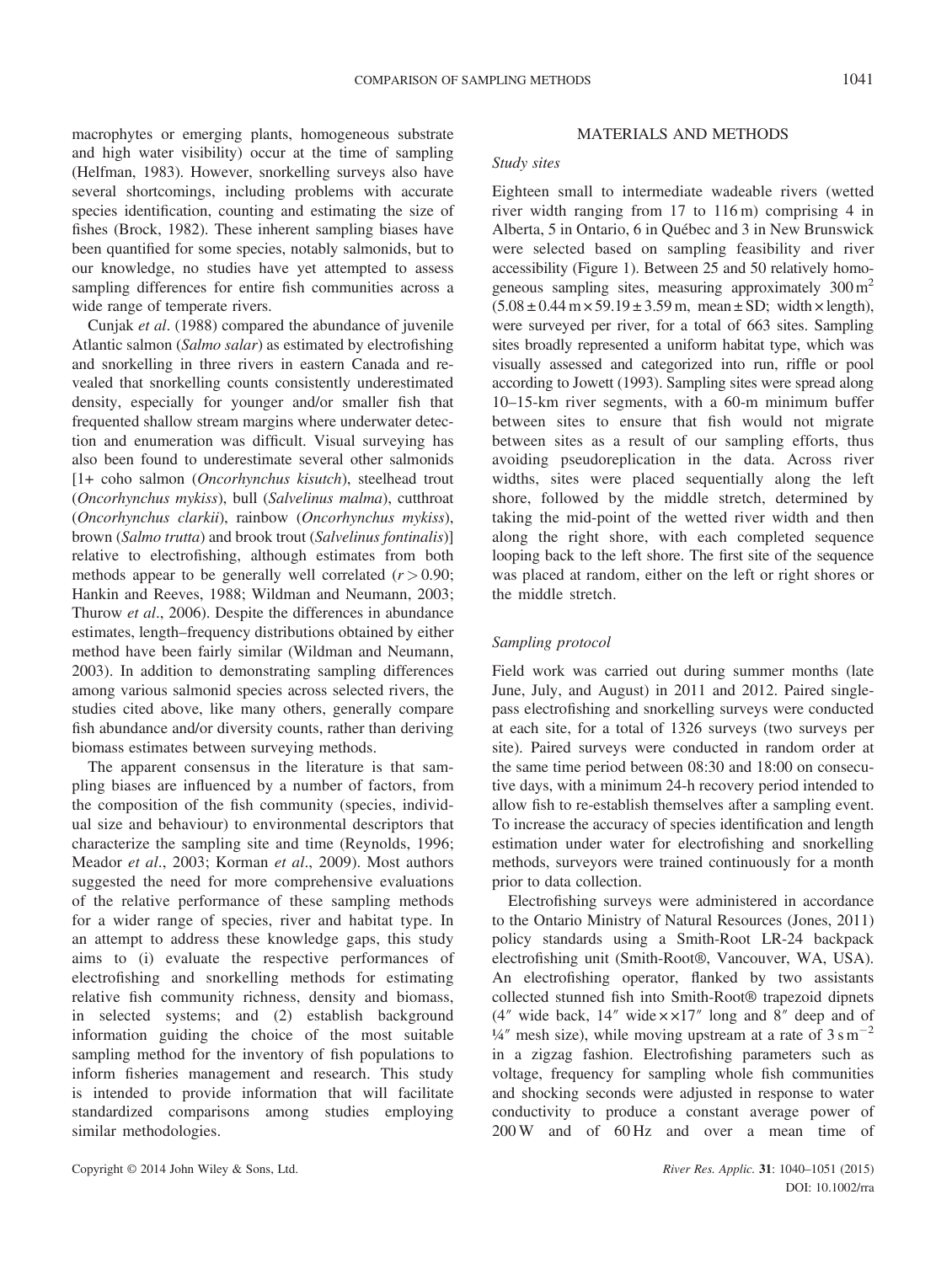macrophytes or emerging plants, homogeneous substrate and high water visibility) occur at the time of sampling (Helfman, 1983). However, snorkelling surveys also have several shortcomings, including problems with accurate species identification, counting and estimating the size of fishes (Brock, 1982). These inherent sampling biases have been quantified for some species, notably salmonids, but to our knowledge, no studies have yet attempted to assess sampling differences for entire fish communities across a wide range of temperate rivers.

Cunjak et al. (1988) compared the abundance of juvenile Atlantic salmon (Salmo salar) as estimated by electrofishing and snorkelling in three rivers in eastern Canada and revealed that snorkelling counts consistently underestimated density, especially for younger and/or smaller fish that frequented shallow stream margins where underwater detection and enumeration was difficult. Visual surveying has also been found to underestimate several other salmonids [1+ coho salmon (Oncorhynchus kisutch), steelhead trout (Oncorhynchus mykiss), bull (Salvelinus malma), cutthroat (Oncorhynchus clarkii), rainbow (Oncorhynchus mykiss), brown (Salmo trutta) and brook trout (Salvelinus fontinalis)] relative to electrofishing, although estimates from both methods appear to be generally well correlated  $(r > 0.90)$ ; Hankin and Reeves, 1988; Wildman and Neumann, 2003; Thurow et al., 2006). Despite the differences in abundance estimates, length–frequency distributions obtained by either method have been fairly similar (Wildman and Neumann, 2003). In addition to demonstrating sampling differences among various salmonid species across selected rivers, the studies cited above, like many others, generally compare fish abundance and/or diversity counts, rather than deriving biomass estimates between surveying methods.

The apparent consensus in the literature is that sampling biases are influenced by a number of factors, from the composition of the fish community (species, individual size and behaviour) to environmental descriptors that characterize the sampling site and time (Reynolds, 1996; Meador et al., 2003; Korman et al., 2009). Most authors suggested the need for more comprehensive evaluations of the relative performance of these sampling methods for a wider range of species, river and habitat type. In an attempt to address these knowledge gaps, this study aims to (i) evaluate the respective performances of electrofishing and snorkelling methods for estimating relative fish community richness, density and biomass, in selected systems; and (2) establish background information guiding the choice of the most suitable sampling method for the inventory of fish populations to inform fisheries management and research. This study is intended to provide information that will facilitate standardized comparisons among studies employing similar methodologies.

## MATERIALS AND METHODS

## Study sites

Eighteen small to intermediate wadeable rivers (wetted river width ranging from 17 to 116 m) comprising 4 in Alberta, 5 in Ontario, 6 in Québec and 3 in New Brunswick were selected based on sampling feasibility and river accessibility (Figure 1). Between 25 and 50 relatively homogeneous sampling sites, measuring approximately  $300 \text{ m}^2$  $(5.08 \pm 0.44 \text{ m} \times 59.19 \pm 3.59 \text{ m}, \text{ mean} \pm \text{SD}; \text{ width} \times \text{length}),$ were surveyed per river, for a total of 663 sites. Sampling sites broadly represented a uniform habitat type, which was visually assessed and categorized into run, riffle or pool according to Jowett (1993). Sampling sites were spread along 10–15-km river segments, with a 60-m minimum buffer between sites to ensure that fish would not migrate between sites as a result of our sampling efforts, thus avoiding pseudoreplication in the data. Across river widths, sites were placed sequentially along the left shore, followed by the middle stretch, determined by taking the mid-point of the wetted river width and then along the right shore, with each completed sequence looping back to the left shore. The first site of the sequence was placed at random, either on the left or right shores or the middle stretch.

## Sampling protocol

Field work was carried out during summer months (late June, July, and August) in 2011 and 2012. Paired singlepass electrofishing and snorkelling surveys were conducted at each site, for a total of 1326 surveys (two surveys per site). Paired surveys were conducted in random order at the same time period between 08:30 and 18:00 on consecutive days, with a minimum 24-h recovery period intended to allow fish to re-establish themselves after a sampling event. To increase the accuracy of species identification and length estimation under water for electrofishing and snorkelling methods, surveyors were trained continuously for a month prior to data collection.

Electrofishing surveys were administered in accordance to the Ontario Ministry of Natural Resources (Jones, 2011) policy standards using a Smith-Root LR-24 backpack electrofishing unit (Smith-Root®, Vancouver, WA, USA). An electrofishing operator, flanked by two assistants collected stunned fish into Smith-Root® trapezoid dipnets  $(4''$  wide back,  $14''$  wide  $\times \times 17''$  long and 8" deep and of  $\frac{1}{4}$ " mesh size), while moving upstream at a rate of 3 s m<sup>-2</sup> in a zigzag fashion. Electrofishing parameters such as voltage, frequency for sampling whole fish communities and shocking seconds were adjusted in response to water conductivity to produce a constant average power of 200 W and of 60 Hz and over a mean time of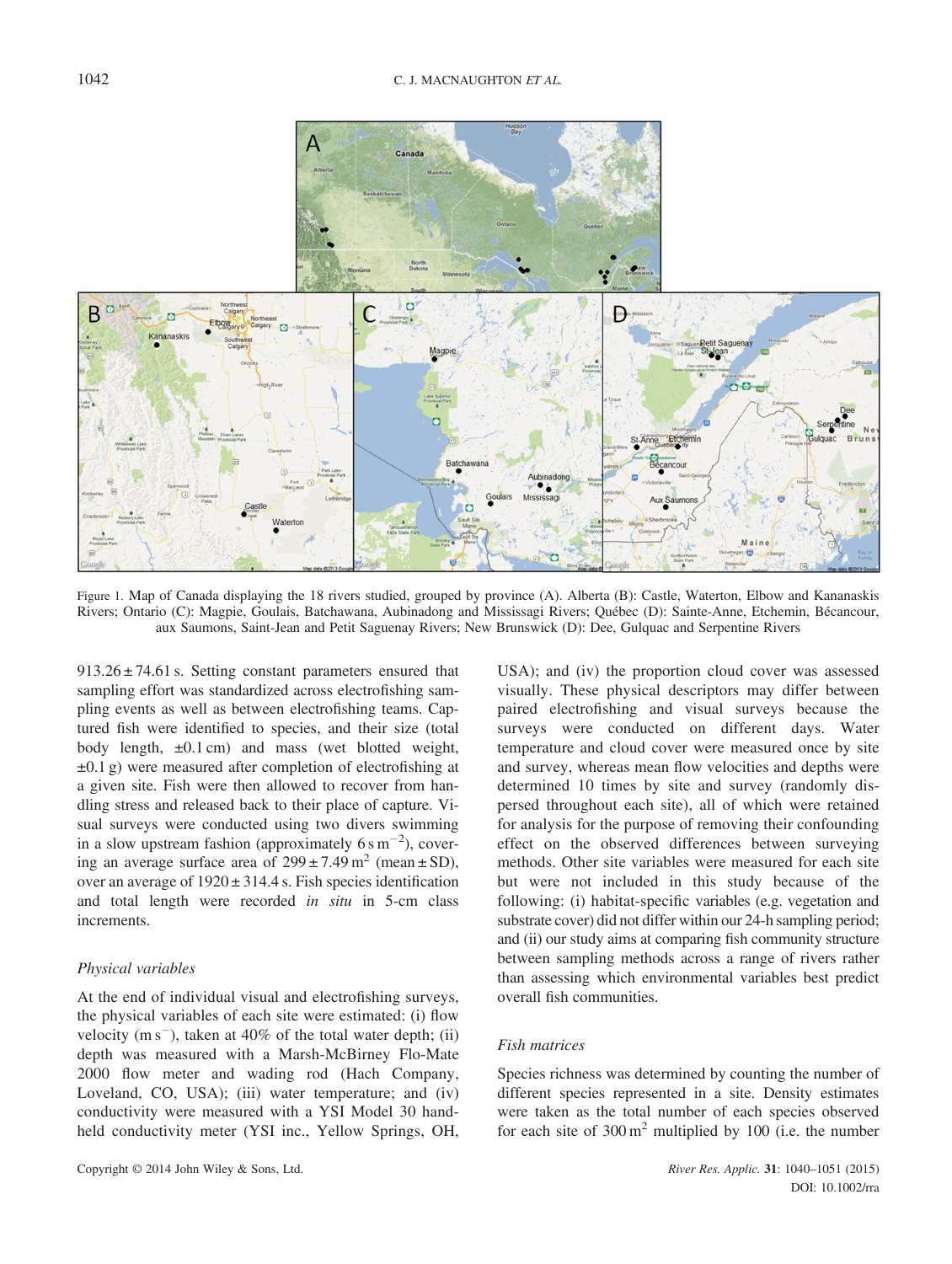

Figure 1. Map of Canada displaying the 18 rivers studied, grouped by province (A). Alberta (B): Castle, Waterton, Elbow and Kananaskis Rivers; Ontario (C): Magpie, Goulais, Batchawana, Aubinadong and Mississagi Rivers; Québec (D): Sainte-Anne, Etchemin, Bécancour, aux Saumons, Saint-Jean and Petit Saguenay Rivers; New Brunswick (D): Dee, Gulquac and Serpentine Rivers

 $913.26 \pm 74.61$  s. Setting constant parameters ensured that sampling effort was standardized across electrofishing sampling events as well as between electrofishing teams. Captured fish were identified to species, and their size (total body length,  $\pm 0.1$  cm) and mass (wet blotted weight,  $\pm 0.1$  g) were measured after completion of electrofishing at a given site. Fish were then allowed to recover from handling stress and released back to their place of capture. Visual surveys were conducted using two divers swimming in a slow upstream fashion (approximately  $6 \text{ s m}^{-2}$ ), covering an average surface area of  $299 \pm 7.49$  m<sup>2</sup> (mean  $\pm$  SD), over an average of  $1920 \pm 314.4$  s. Fish species identification and total length were recorded in situ in 5-cm class increments.

## Physical variables

At the end of individual visual and electrofishing surveys, the physical variables of each site were estimated: (i) flow velocity  $(m s<sup>-</sup>)$ , taken at 40% of the total water depth; (ii) depth was measured with a Marsh-McBirney Flo-Mate 2000 flow meter and wading rod (Hach Company, Loveland, CO, USA); (iii) water temperature; and (iv) conductivity were measured with a YSI Model 30 handheld conductivity meter (YSI inc., Yellow Springs, OH, USA); and (iv) the proportion cloud cover was assessed visually. These physical descriptors may differ between paired electrofishing and visual surveys because the surveys were conducted on different days. Water temperature and cloud cover were measured once by site and survey, whereas mean flow velocities and depths were determined 10 times by site and survey (randomly dispersed throughout each site), all of which were retained for analysis for the purpose of removing their confounding effect on the observed differences between surveying methods. Other site variables were measured for each site but were not included in this study because of the following: (i) habitat-specific variables (e.g. vegetation and substrate cover) did not differ within our 24-h sampling period; and (ii) our study aims at comparing fish community structure between sampling methods across a range of rivers rather than assessing which environmental variables best predict overall fish communities.

## Fish matrices

Species richness was determined by counting the number of different species represented in a site. Density estimates were taken as the total number of each species observed for each site of  $300 \text{ m}^2$  multiplied by 100 (i.e. the number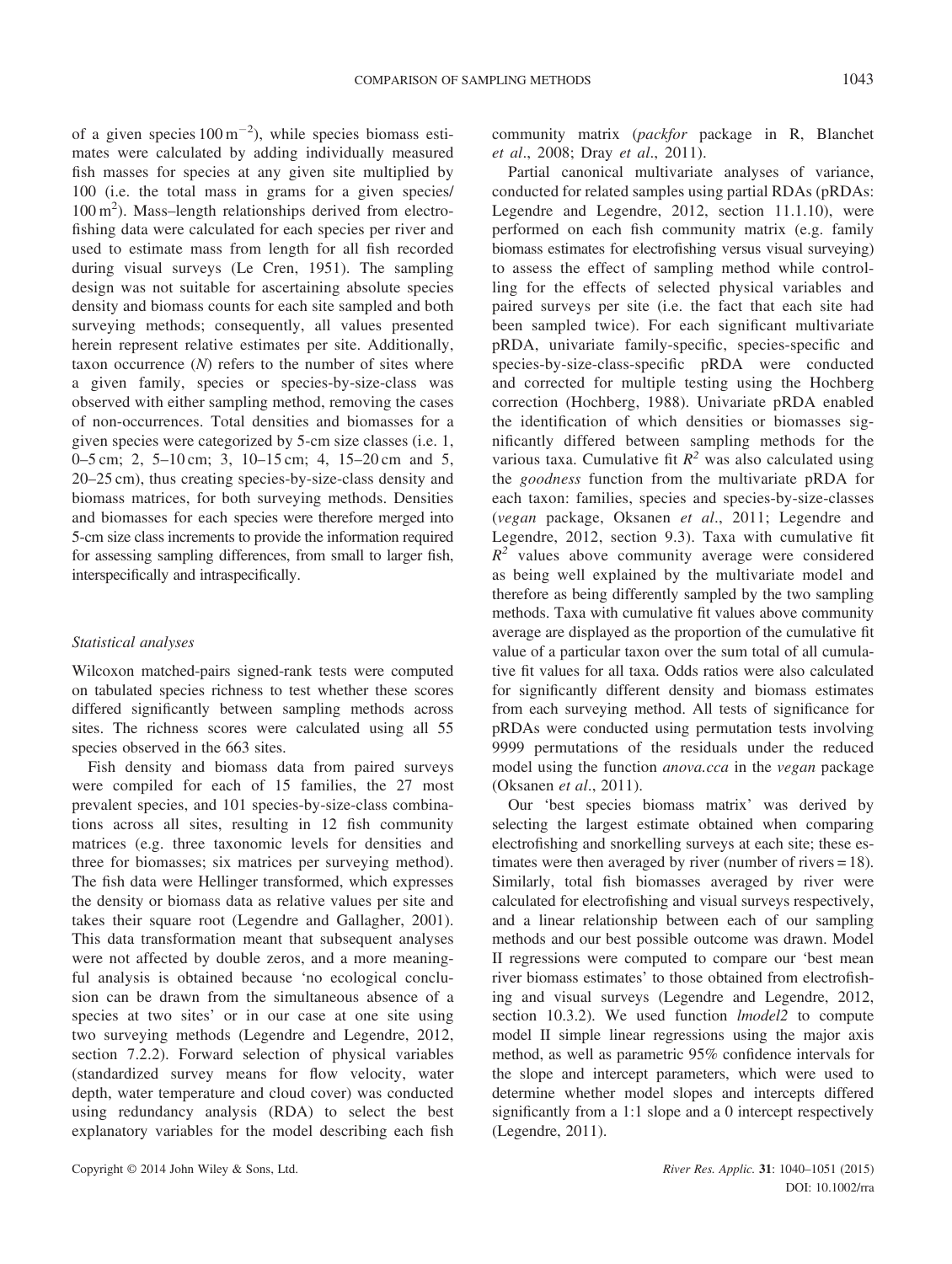of a given species  $100 \,\mathrm{m}^{-2}$ ), while species biomass estimates were calculated by adding individually measured fish masses for species at any given site multiplied by 100 (i.e. the total mass in grams for a given species/ 100 m<sup>2</sup> ). Mass–length relationships derived from electrofishing data were calculated for each species per river and used to estimate mass from length for all fish recorded during visual surveys (Le Cren, 1951). The sampling design was not suitable for ascertaining absolute species density and biomass counts for each site sampled and both surveying methods; consequently, all values presented herein represent relative estimates per site. Additionally, taxon occurrence  $(N)$  refers to the number of sites where a given family, species or species-by-size-class was observed with either sampling method, removing the cases of non-occurrences. Total densities and biomasses for a given species were categorized by 5-cm size classes (i.e. 1, 0–5 cm; 2, 5–10 cm; 3, 10–15 cm; 4, 15–20 cm and 5, 20–25 cm), thus creating species-by-size-class density and biomass matrices, for both surveying methods. Densities and biomasses for each species were therefore merged into 5-cm size class increments to provide the information required for assessing sampling differences, from small to larger fish, interspecifically and intraspecifically.

#### Statistical analyses

Wilcoxon matched-pairs signed-rank tests were computed on tabulated species richness to test whether these scores differed significantly between sampling methods across sites. The richness scores were calculated using all 55 species observed in the 663 sites.

Fish density and biomass data from paired surveys were compiled for each of 15 families, the 27 most prevalent species, and 101 species-by-size-class combinations across all sites, resulting in 12 fish community matrices (e.g. three taxonomic levels for densities and three for biomasses; six matrices per surveying method). The fish data were Hellinger transformed, which expresses the density or biomass data as relative values per site and takes their square root (Legendre and Gallagher, 2001). This data transformation meant that subsequent analyses were not affected by double zeros, and a more meaningful analysis is obtained because 'no ecological conclusion can be drawn from the simultaneous absence of a species at two sites' or in our case at one site using two surveying methods (Legendre and Legendre, 2012, section 7.2.2). Forward selection of physical variables (standardized survey means for flow velocity, water depth, water temperature and cloud cover) was conducted using redundancy analysis (RDA) to select the best explanatory variables for the model describing each fish community matrix (packfor package in R, Blanchet et al., 2008; Dray et al., 2011).

Partial canonical multivariate analyses of variance, conducted for related samples using partial RDAs (pRDAs: Legendre and Legendre, 2012, section 11.1.10), were performed on each fish community matrix (e.g. family biomass estimates for electrofishing versus visual surveying) to assess the effect of sampling method while controlling for the effects of selected physical variables and paired surveys per site (i.e. the fact that each site had been sampled twice). For each significant multivariate pRDA, univariate family-specific, species-specific and species-by-size-class-specific pRDA were conducted and corrected for multiple testing using the Hochberg correction (Hochberg, 1988). Univariate pRDA enabled the identification of which densities or biomasses significantly differed between sampling methods for the various taxa. Cumulative fit  $R^2$  was also calculated using the goodness function from the multivariate pRDA for each taxon: families, species and species-by-size-classes (vegan package, Oksanen et al., 2011; Legendre and Legendre, 2012, section 9.3). Taxa with cumulative fit  $R^2$  values above community average were considered as being well explained by the multivariate model and therefore as being differently sampled by the two sampling methods. Taxa with cumulative fit values above community average are displayed as the proportion of the cumulative fit value of a particular taxon over the sum total of all cumulative fit values for all taxa. Odds ratios were also calculated for significantly different density and biomass estimates from each surveying method. All tests of significance for pRDAs were conducted using permutation tests involving 9999 permutations of the residuals under the reduced model using the function anova.cca in the vegan package (Oksanen et al., 2011).

Our 'best species biomass matrix' was derived by selecting the largest estimate obtained when comparing electrofishing and snorkelling surveys at each site; these estimates were then averaged by river (number of rivers  $= 18$ ). Similarly, total fish biomasses averaged by river were calculated for electrofishing and visual surveys respectively, and a linear relationship between each of our sampling methods and our best possible outcome was drawn. Model II regressions were computed to compare our 'best mean river biomass estimates' to those obtained from electrofishing and visual surveys (Legendre and Legendre, 2012, section 10.3.2). We used function lmodel2 to compute model II simple linear regressions using the major axis method, as well as parametric 95% confidence intervals for the slope and intercept parameters, which were used to determine whether model slopes and intercepts differed significantly from a 1:1 slope and a 0 intercept respectively (Legendre, 2011).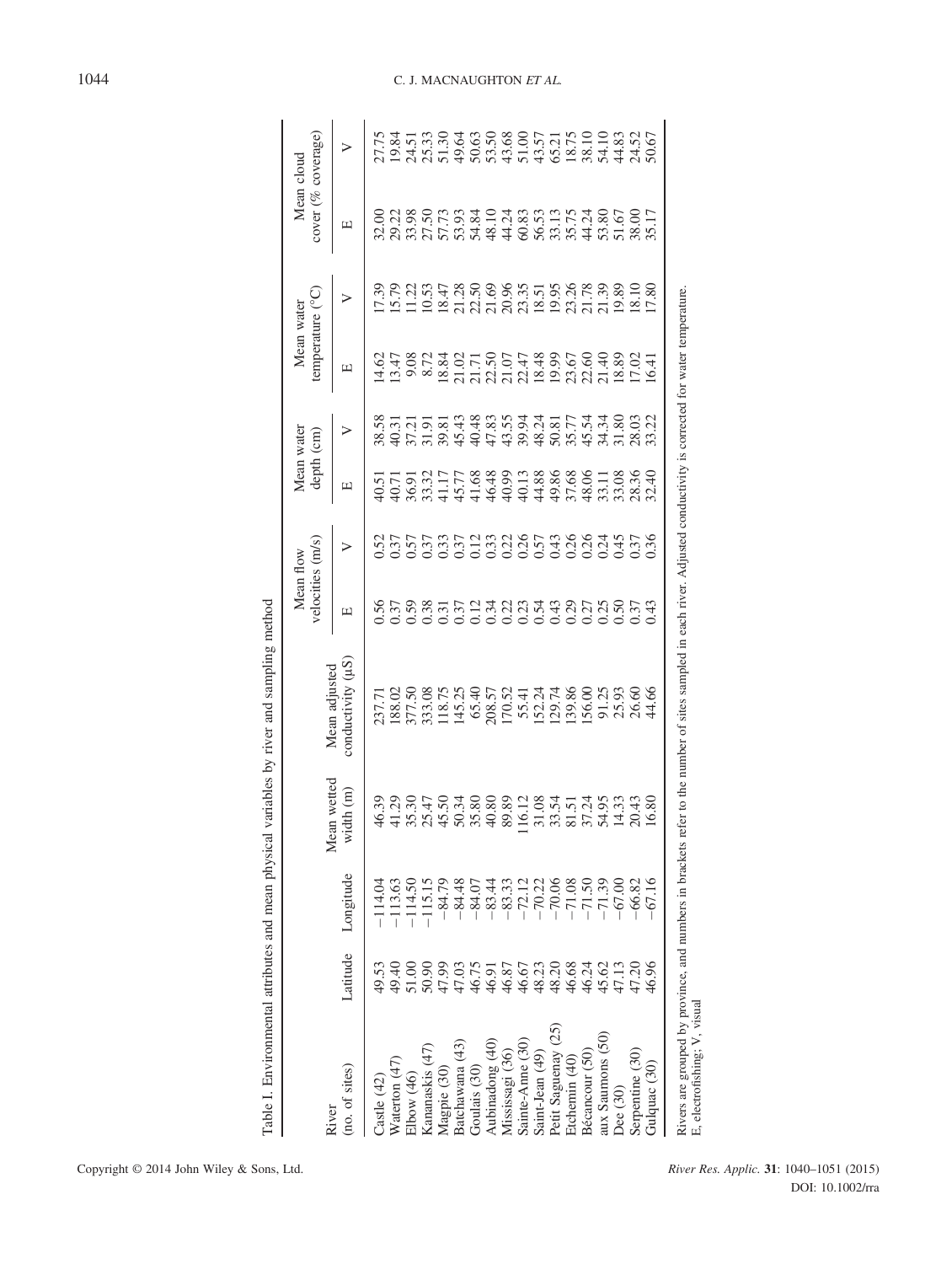| River                                                                                      |                                  |                                  | Mean wetted | Mean adjusted                                                                                               | velocities (m/s)<br>Mean flow |                   | Mean water<br>depth (cm)                                                             |                                                                         | temperature (°C)<br>Mean water |                                                                                                                                                                                                                                                                                                               | cover (% coverage)<br>Mean cloud    |       |
|--------------------------------------------------------------------------------------------|----------------------------------|----------------------------------|-------------|-------------------------------------------------------------------------------------------------------------|-------------------------------|-------------------|--------------------------------------------------------------------------------------|-------------------------------------------------------------------------|--------------------------------|---------------------------------------------------------------------------------------------------------------------------------------------------------------------------------------------------------------------------------------------------------------------------------------------------------------|-------------------------------------|-------|
| (no. of sites)                                                                             | Latitude                         | Longitude                        | width (m)   | conductivity $(\mu S)$                                                                                      | ш                             | $\triangleright$  | щ                                                                                    | >                                                                       | щ                              | $\triangleright$                                                                                                                                                                                                                                                                                              | щ                                   |       |
| Castle (42)                                                                                | 49.53                            | $-114.04$                        | 46.39       |                                                                                                             | 0.56                          | 0.52              | 40.51                                                                                | 88.58                                                                   |                                | 7.39                                                                                                                                                                                                                                                                                                          | 32.00                               | 27.75 |
| Waterton (47)                                                                              |                                  | $-113.63$                        | 41.29       | 237.71<br>188.02<br>577.50<br>118.75<br>118.75                                                              | 0.37                          |                   | 40.71                                                                                |                                                                         |                                | 15.79                                                                                                                                                                                                                                                                                                         | 29.22                               |       |
| Elbow (46)                                                                                 | 49.40<br>51.00                   | $-114.50$                        | 35.30       |                                                                                                             |                               | 0.37              |                                                                                      |                                                                         |                                |                                                                                                                                                                                                                                                                                                               |                                     |       |
| Kananaskis (47)                                                                            | 50.90                            | 115.15                           | 25.47       |                                                                                                             | 0.59<br>0.38                  |                   | $36.91$<br>$33.32$<br>$41.17$<br>$56.48$<br>$49.92$<br>$49.32$<br>$44.49$<br>$49.38$ | arus sata sa baisha<br>dha sa baisha sa baish<br>dha sa baisha sa baish |                                | $\begin{array}{l} 1.23 \\ 1.91 \\ 1.12 \\ 1.33 \\ 1.43 \\ 1.54 \\ 1.55 \\ 1.56 \\ 1.57 \\ 1.58 \\ 1.59 \\ 1.59 \\ 1.51 \\ 1.51 \\ 1.51 \\ 1.51 \\ 1.51 \\ 1.51 \\ 1.51 \\ 1.51 \\ 1.51 \\ 1.51 \\ 1.51 \\ 1.51 \\ 1.51 \\ 1.51 \\ 1.51 \\ 1.52 \\ 1.53 \\ 1.54 \\ 1.54 \\ 1.53 \\ 1.54 \\ 1.55 \\ 1.53 \\ 1.$ | 33.98<br>27.50<br>57.73<br>53.93    |       |
| Magpie (30)                                                                                | 47.99                            | $-84.79$                         | 45.50       |                                                                                                             | 0.31                          | 0.37              |                                                                                      |                                                                         |                                |                                                                                                                                                                                                                                                                                                               |                                     |       |
| Batchawana (43)                                                                            | 47.03                            | $-84.48$                         | 50.34       | 145.25                                                                                                      | 0.37                          | 0.37              |                                                                                      |                                                                         |                                |                                                                                                                                                                                                                                                                                                               |                                     |       |
| Goulais (30)                                                                               |                                  | $-84.07$                         | 35.80       | 65.40                                                                                                       | 0.12                          |                   |                                                                                      |                                                                         |                                |                                                                                                                                                                                                                                                                                                               | 54.84                               |       |
| Aubinadong (40)                                                                            |                                  |                                  | 40.80       | 208.57                                                                                                      | 0.34                          | $\frac{12}{0.33}$ |                                                                                      |                                                                         |                                |                                                                                                                                                                                                                                                                                                               | 48.10                               |       |
| Mississagi (36)                                                                            | 46.75<br>46.91<br>46.87<br>46.67 | $-83.44$<br>$-83.33$<br>$-72.12$ | 89.89       | 170.52                                                                                                      |                               |                   |                                                                                      |                                                                         |                                |                                                                                                                                                                                                                                                                                                               | 44.24<br>60.83                      |       |
| Sainte-Anne (30)                                                                           |                                  |                                  | 16.12       | 55.41                                                                                                       |                               |                   |                                                                                      |                                                                         |                                |                                                                                                                                                                                                                                                                                                               |                                     |       |
| Saint-Jean (49)                                                                            | 48.23                            | $-70.22$                         | 31.08       | 152.24                                                                                                      | $0.23$<br>0.034               | 0.216<br>0.357    |                                                                                      |                                                                         |                                |                                                                                                                                                                                                                                                                                                               |                                     |       |
| (25)<br>Petit Saguenay                                                                     | 48.20<br>46.68                   | $-70.06$                         | 33.54       | 129.74                                                                                                      |                               |                   |                                                                                      |                                                                         |                                |                                                                                                                                                                                                                                                                                                               | 56.53<br>33.13<br>35.44.80<br>51.67 |       |
| Etchemin (40)                                                                              |                                  | $-71.08$                         | 81.51       | 139.86                                                                                                      | 33535<br>33535                | 388845<br>20000   | 49.86<br>37.68                                                                       |                                                                         |                                |                                                                                                                                                                                                                                                                                                               |                                     |       |
| Bécancour (50)                                                                             | 46.24                            | $-71.50$                         | 37.24       | 56.00                                                                                                       |                               |                   | 48.06<br>33.11<br>33.08                                                              |                                                                         |                                |                                                                                                                                                                                                                                                                                                               |                                     |       |
| aux Saumons (50)                                                                           | 45.62                            | $-71.39$                         | 54.95       | 91.25                                                                                                       |                               |                   |                                                                                      |                                                                         |                                |                                                                                                                                                                                                                                                                                                               |                                     |       |
| $\text{Dec}$ $(30)$                                                                        | 47.13                            | $-67.00$                         | 14.33       |                                                                                                             |                               |                   |                                                                                      | 81.80                                                                   |                                |                                                                                                                                                                                                                                                                                                               |                                     |       |
| Serpentine (30)                                                                            | 47.20                            | $-66.82$                         | 20.43       | 25.93<br>26.66<br>44.66                                                                                     | 0.37                          | 0.37              | 28.36<br>32.40                                                                       | 28.03                                                                   | $17.02$<br>$16.41$             | 18.10<br>17.80                                                                                                                                                                                                                                                                                                | 38.00                               |       |
| Gulquac (30)                                                                               | 46.96                            | $-67.16$                         | 16.80       |                                                                                                             | 0.43                          |                   |                                                                                      | 33.22                                                                   |                                |                                                                                                                                                                                                                                                                                                               |                                     |       |
| Rivers are grouped by province, and numbers in brackets re<br>E, electrofishing; V, visual |                                  |                                  |             | fer to the number of sites sampled in each river. Adjusted conductivity is corrected for water temperature. |                               |                   |                                                                                      |                                                                         |                                |                                                                                                                                                                                                                                                                                                               |                                     |       |

| $\frac{1}{2}$                                                               |
|-----------------------------------------------------------------------------|
| :<br>:                                                                      |
|                                                                             |
| I<br>i                                                                      |
| ;                                                                           |
| ;                                                                           |
| :<br>;<br>;                                                                 |
| al attributor and moon phanan also anno baile ar river anno anno anno 1000. |
| j<br>.<br>ובוניות<br>י                                                      |
|                                                                             |
| $\overline{a}$                                                              |
| )<br>}<br>}<br>$\frac{1}{2}$<br>r<br>F                                      |

Copyright © 2014 John Wiley & Sons, Ltd.

## 1044 C. J. MACNAUGHTON ET AL.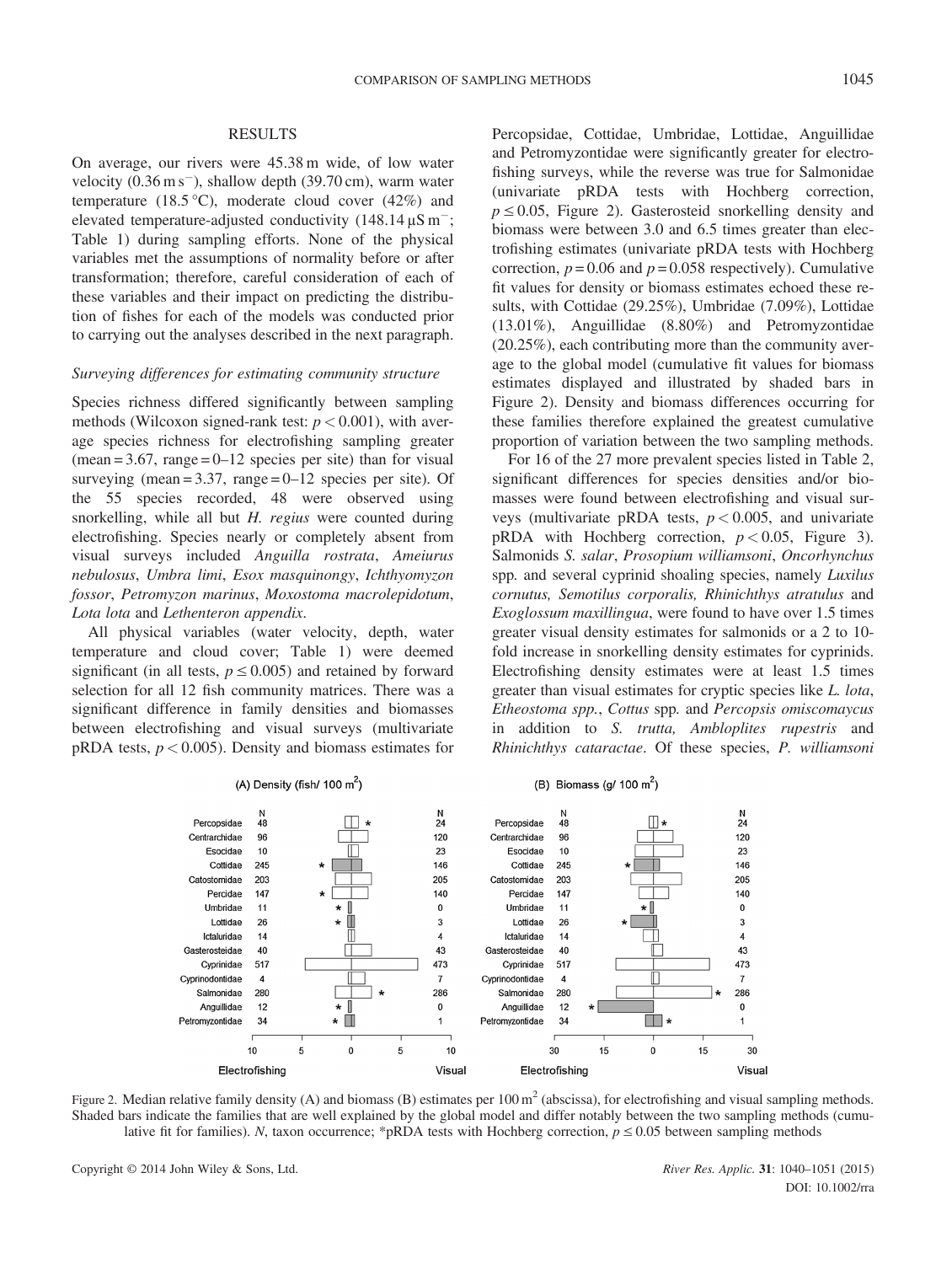## RESULTS

On average, our rivers were 45.38 m wide, of low water velocity  $(0.36 \text{ m s}^{-})$ , shallow depth  $(39.70 \text{ cm})$ , warm water temperature (18.5 °C), moderate cloud cover (42%) and elevated temperature-adjusted conductivity  $(148.14 \,\mu S \,\text{m}^{-})$ ; Table 1) during sampling efforts. None of the physical variables met the assumptions of normality before or after transformation; therefore, careful consideration of each of these variables and their impact on predicting the distribution of fishes for each of the models was conducted prior to carrying out the analyses described in the next paragraph.

#### Surveying differences for estimating community structure

Species richness differed significantly between sampling methods (Wilcoxon signed-rank test:  $p < 0.001$ ), with average species richness for electrofishing sampling greater  $(mean = 3.67, range = 0-12$  species per site) than for visual surveying (mean =  $3.37$ , range =  $0-12$  species per site). Of the 55 species recorded, 48 were observed using snorkelling, while all but H. regius were counted during electrofishing. Species nearly or completely absent from visual surveys included Anguilla rostrata, Ameiurus nebulosus, Umbra limi, Esox masquinongy, Ichthyomyzon fossor, Petromyzon marinus, Moxostoma macrolepidotum, Lota lota and Lethenteron appendix.

All physical variables (water velocity, depth, water temperature and cloud cover; Table 1) were deemed significant (in all tests,  $p \le 0.005$ ) and retained by forward selection for all 12 fish community matrices. There was a significant difference in family densities and biomasses between electrofishing and visual surveys (multivariate pRDA tests,  $p < 0.005$ ). Density and biomass estimates for Percopsidae, Cottidae, Umbridae, Lottidae, Anguillidae and Petromyzontidae were significantly greater for electrofishing surveys, while the reverse was true for Salmonidae (univariate pRDA tests with Hochberg correction,  $p \le 0.05$ , Figure 2). Gasterosteid snorkelling density and biomass were between 3.0 and 6.5 times greater than electrofishing estimates (univariate pRDA tests with Hochberg correction,  $p = 0.06$  and  $p = 0.058$  respectively). Cumulative fit values for density or biomass estimates echoed these results, with Cottidae (29.25%), Umbridae (7.09%), Lottidae (13.01%), Anguillidae (8.80%) and Petromyzontidae (20.25%), each contributing more than the community average to the global model (cumulative fit values for biomass estimates displayed and illustrated by shaded bars in Figure 2). Density and biomass differences occurring for these families therefore explained the greatest cumulative proportion of variation between the two sampling methods.

For 16 of the 27 more prevalent species listed in Table 2, significant differences for species densities and/or biomasses were found between electrofishing and visual surveys (multivariate pRDA tests,  $p < 0.005$ , and univariate pRDA with Hochberg correction,  $p < 0.05$ , Figure 3). Salmonids S. salar, Prosopium williamsoni, Oncorhynchus spp. and several cyprinid shoaling species, namely Luxilus cornutus, Semotilus corporalis, Rhinichthys atratulus and Exoglossum maxillingua, were found to have over 1.5 times greater visual density estimates for salmonids or a 2 to 10 fold increase in snorkelling density estimates for cyprinids. Electrofishing density estimates were at least 1.5 times greater than visual estimates for cryptic species like L. lota, Etheostoma spp., Cottus spp. and Percopsis omiscomaycus in addition to S. trutta, Ambloplites rupestris and Rhinichthys cataractae. Of these species, P. williamsoni



Figure 2. Median relative family density (A) and biomass (B) estimates per  $100 \text{ m}^2$  (abscissa), for electrofishing and visual sampling methods. Shaded bars indicate the families that are well explained by the global model and differ notably between the two sampling methods (cumulative fit for families). N, taxon occurrence; \*pRDA tests with Hochberg correction,  $p \le 0.05$  between sampling methods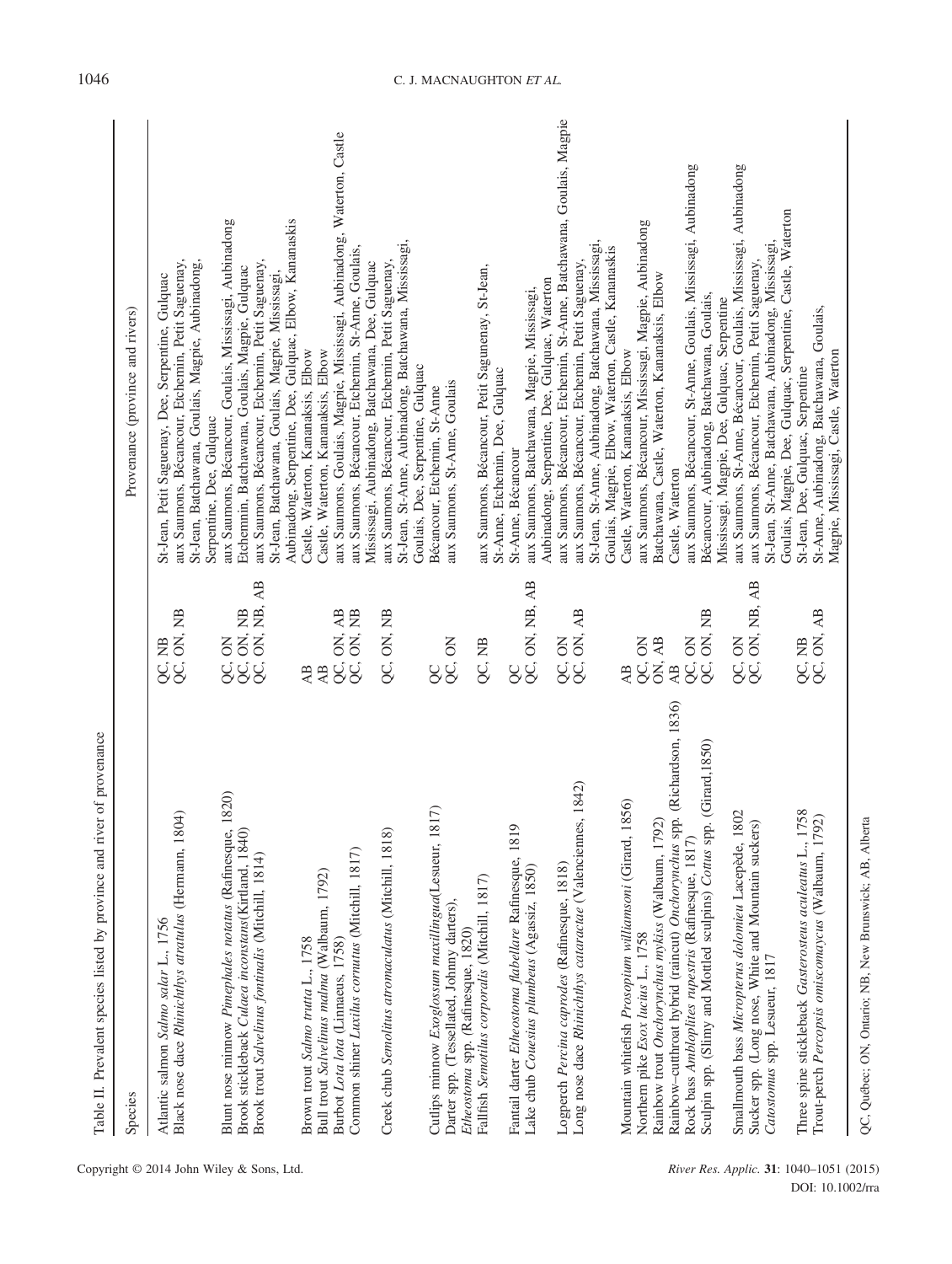| Species                                                                                                                                                                                                                                                                                                                                                        |                                                                                | Provenance (province and rivers)                                                                                                                                                                                                                                                                                                                                                |
|----------------------------------------------------------------------------------------------------------------------------------------------------------------------------------------------------------------------------------------------------------------------------------------------------------------------------------------------------------------|--------------------------------------------------------------------------------|---------------------------------------------------------------------------------------------------------------------------------------------------------------------------------------------------------------------------------------------------------------------------------------------------------------------------------------------------------------------------------|
| Black nose dace Rhinichthys atratulus (Hermann, 1804)<br>Atlantic salmon Salmo salar L., 1756                                                                                                                                                                                                                                                                  | QC, ON, NB<br>QC, NB                                                           | aux Saumons, Bécancour, Etchemin, Petit Saguenay,<br>St-Jean, Batchawana, Goulais, Magpie, Aubinadong,<br>St-Jean, Petit Saguenay, Dee, Serpentine, Gulquac<br>Serpentine, Dee, Gulquac                                                                                                                                                                                         |
| Blunt nose minnow Pimephales notatus (Rafinesque, 1820)<br>Brook stickleback Culaea inconstans(Kirtland, 1840)<br>Brook trout Salvelinus fontinalis (Mitchill, 1814)                                                                                                                                                                                           | QC, ON, NB, AB<br>QC, ON, NB<br>QC, ON                                         | aux Saumons, Bécancour, Goulais, Mississagi, Aubinadong<br>aux Saumons, Bécancour, Etchemin, Petit Saguenay,<br>Etchemnin, Batchawana, Goulais, Magpie, Gulquac<br>St-Jean, Batchawana, Goulais, Magpie, Mississagi,                                                                                                                                                            |
| Common shiner Luxilus cornutus (Mitchill, 1817)<br>Bull trout Salvelinus malma (Walbaum, 1792)<br>Brown trout Salmo trutta L., 1758<br>Burbot Lota lota (Linnaeus, 1758)                                                                                                                                                                                       | QC, ON, NB<br>QC, ON, AB<br>$\overline{AB}$<br>A <sub>B</sub>                  | aux Saumons, Goulais, Magpie, Mississagi, Aubinadong, Waterton, Castle<br>Aubinadong, Serpentine, Dee, Gulquac, Elbow, Kananaskis<br>aux Saumons, Bécancour, Etchemin, St-Anne, Goulais,<br>Mississagi, Aubinadong, Batchawana, Dee, Gulquac<br>Castle, Waterton, Kananaksis, Elbow<br>Castle, Waterton, Kananaksis, Elbow                                                      |
| Cutlips minnow Exoglossum maxillingua(Lesueur, 1817)<br>Creek chub Semolitus atromaculatus (Mitchill, 1818)<br>Darter spp. (Tessellated, Johnny darters),                                                                                                                                                                                                      | QC, ON, NB<br>QC<br>QC, ON                                                     | St-Jean, St-Anne, Aubinadong, Batchawana, Mississagi,<br>aux Saumons, Bécancour, Etchemin, Petit Saguenay,<br>Goulais, Dee, Serpentine, Gulquac<br>aux Saumons, St-Anne, Goulais<br>Bécancour, Etchemin, St-Anne                                                                                                                                                                |
| ⌒<br>Fantail darter Etheostoma flabellare Rafinesque, 181<br>Lake chub Couesius plumbeus (Agassiz, 1850)<br>Fallfish Semotilus corporalis (Mitchill, 1817)<br>Etheostoma spp. (Rafinesque, 1820)                                                                                                                                                               | QC, ON, NB, AB<br>QC, NB<br>g                                                  | aux Saumons, Bécancour, Petit Sagunenay, St-Jean,<br>aux Saumons, Batchawana, Magpie, Mississagi,<br>St-Anne, Etchemin, Dee, Gulquac<br>St-Anne, Bécancour                                                                                                                                                                                                                      |
| :s, 1842)<br>Long nose dace Rhinichthys cataractae (Valencienne<br>Logperch Percina caprodes (Rafinesque, 1818)                                                                                                                                                                                                                                                | QC, ON, AB<br>QC, ON                                                           | aux Saumons, Bécancour, Etchemin, St-Anne, Batchawana, Goulais, Magpie<br>St-Jean, St-Anne, Aubinadong, Batchawana, Mississagi,<br>aux Saumons, Bécancour, Etchemin, Petit Saguenay,<br>Aubinadong, Serpentine, Dee, Gulquac, Waterton                                                                                                                                          |
| Rainbow-cutthroat hybrid (raincut) Onchorynchus spp. (Richardson, 1836)<br>Sculpin spp. (Slimy and Mottled sculpins) Cottus spp. (Girard, 1850)<br>1856)<br>Rainbow trout Onchorynchus mykiss (Walbaum, 1792)<br>Rock bass Ambloplites rupestris (Rafinesque, 1817)<br>Mountain whitefish Prosopium williamsoni (Girard,<br>Northern pike Esox lucius L., 1758 | QC, ON, NB<br>QC, ON<br>QC, ON<br>ON, AB<br>$\overline{AB}$<br>$\overline{AB}$ | aux Saumons, Bécancour, St-Anne, Goulais, Mississagi, Aubinadong<br>aux Saumons, Bécancour, Mississagi, Magpie, Aubinadong<br>Goulais, Magpie, Elbow, Waterton, Castle, Kananaskis<br>Batchawana, Castle, Waterton, Kananaksis, Elbow<br>Bécancour, Aubinadong, Batchawana, Goulais,<br>Castle, Waterton, Kananaksis, Elbow<br>Castle, Waterton                                 |
| Three spine stickleback Gasterosteus aculeatus L., 1758<br>Smallmouth bass Micropterus dolomieu Lacepède, 1802<br>Trout-perch Percopsis omiscomaycus (Walbaum, 1792)<br>Sucker spp. (Long nose, White and Mountain suckers)<br>Catostomus spp. Lesueur, 1817                                                                                                   | QC, ON, NB, AB<br>QC, ON, AB<br>QC, ON<br>QC, NB                               | aux Saumons, St-Anne, Bécancour, Goulais, Mississagi, Aubinadong<br>Goulais, Magpie, Dee, Gulquac, Serpentine, Castle, Waterton<br>St-Jean, St-Anne, Batchawana, Aubinadong, Mississagi,<br>aux Saumons, Bécancour, Etchemin, Petit Saguenay,<br>Mississagi, Magpie, Dee, Gulquac, Serpentine<br>St-Anne, Aubinadong, Batchawana, Goulais,<br>St-Jean, Dee, Gulquac, Serpentine |
|                                                                                                                                                                                                                                                                                                                                                                |                                                                                | Magpie, Mississagi, Castle, Waterton                                                                                                                                                                                                                                                                                                                                            |

QC, Québec; ON, Ontario; NB, New Brunswick; AB, Alberta

QC, Québec; ON, Ontario; NB, New Brunswick; AB, Alberta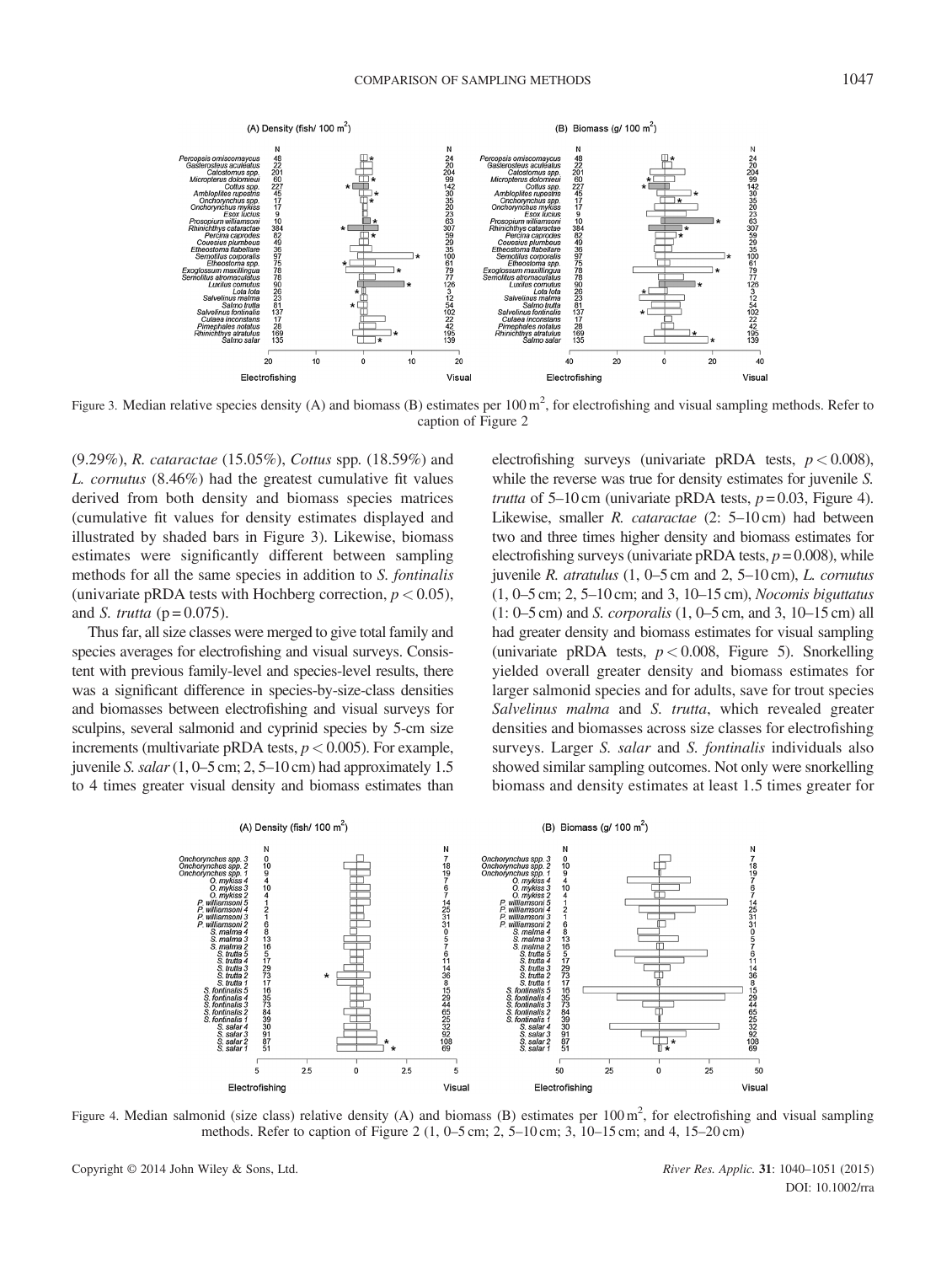

Figure 3. Median relative species density (A) and biomass (B) estimates per  $100 \text{ m}^2$ , for electrofishing and visual sampling methods. Refer to caption of Figure 2

(9.29%), R. cataractae (15.05%), Cottus spp. (18.59%) and L. cornutus (8.46%) had the greatest cumulative fit values derived from both density and biomass species matrices (cumulative fit values for density estimates displayed and illustrated by shaded bars in Figure 3). Likewise, biomass estimates were significantly different between sampling methods for all the same species in addition to S. fontinalis (univariate pRDA tests with Hochberg correction,  $p < 0.05$ ), and S. trutta  $(p = 0.075)$ .

Thus far, all size classes were merged to give total family and species averages for electrofishing and visual surveys. Consistent with previous family-level and species-level results, there was a significant difference in species-by-size-class densities and biomasses between electrofishing and visual surveys for sculpins, several salmonid and cyprinid species by 5-cm size increments (multivariate pRDA tests,  $p < 0.005$ ). For example, juvenile S. salar $(1, 0-5$  cm; 2,  $5-10$  cm) had approximately 1.5 to 4 times greater visual density and biomass estimates than electrofishing surveys (univariate pRDA tests,  $p < 0.008$ ), while the reverse was true for density estimates for juvenile S. trutta of 5–10 cm (univariate pRDA tests,  $p = 0.03$ , Figure 4). Likewise, smaller R. cataractae (2: 5–10 cm) had between two and three times higher density and biomass estimates for electrofishing surveys (univariate pRDA tests,  $p = 0.008$ ), while juvenile R. atratulus (1, 0–5 cm and 2, 5–10 cm), L. cornutus (1, 0–5 cm; 2, 5–10 cm; and 3, 10–15 cm), Nocomis biguttatus (1: 0–5 cm) and S. corporalis (1, 0–5 cm, and 3, 10–15 cm) all had greater density and biomass estimates for visual sampling (univariate pRDA tests,  $p < 0.008$ , Figure 5). Snorkelling yielded overall greater density and biomass estimates for larger salmonid species and for adults, save for trout species Salvelinus malma and S. trutta, which revealed greater densities and biomasses across size classes for electrofishing surveys. Larger S. salar and S. fontinalis individuals also showed similar sampling outcomes. Not only were snorkelling biomass and density estimates at least 1.5 times greater for



Figure 4. Median salmonid (size class) relative density (A) and biomass (B) estimates per  $100 \text{ m}^2$ , for electrofishing and visual sampling methods. Refer to caption of Figure 2 (1, 0–5 cm; 2, 5–10 cm; 3, 10–15 cm; and 4, 15–20 cm)

Copyright © 2014 John Wiley & Sons, Ltd. River Res. Applic. 31: 1040–1051 (2015)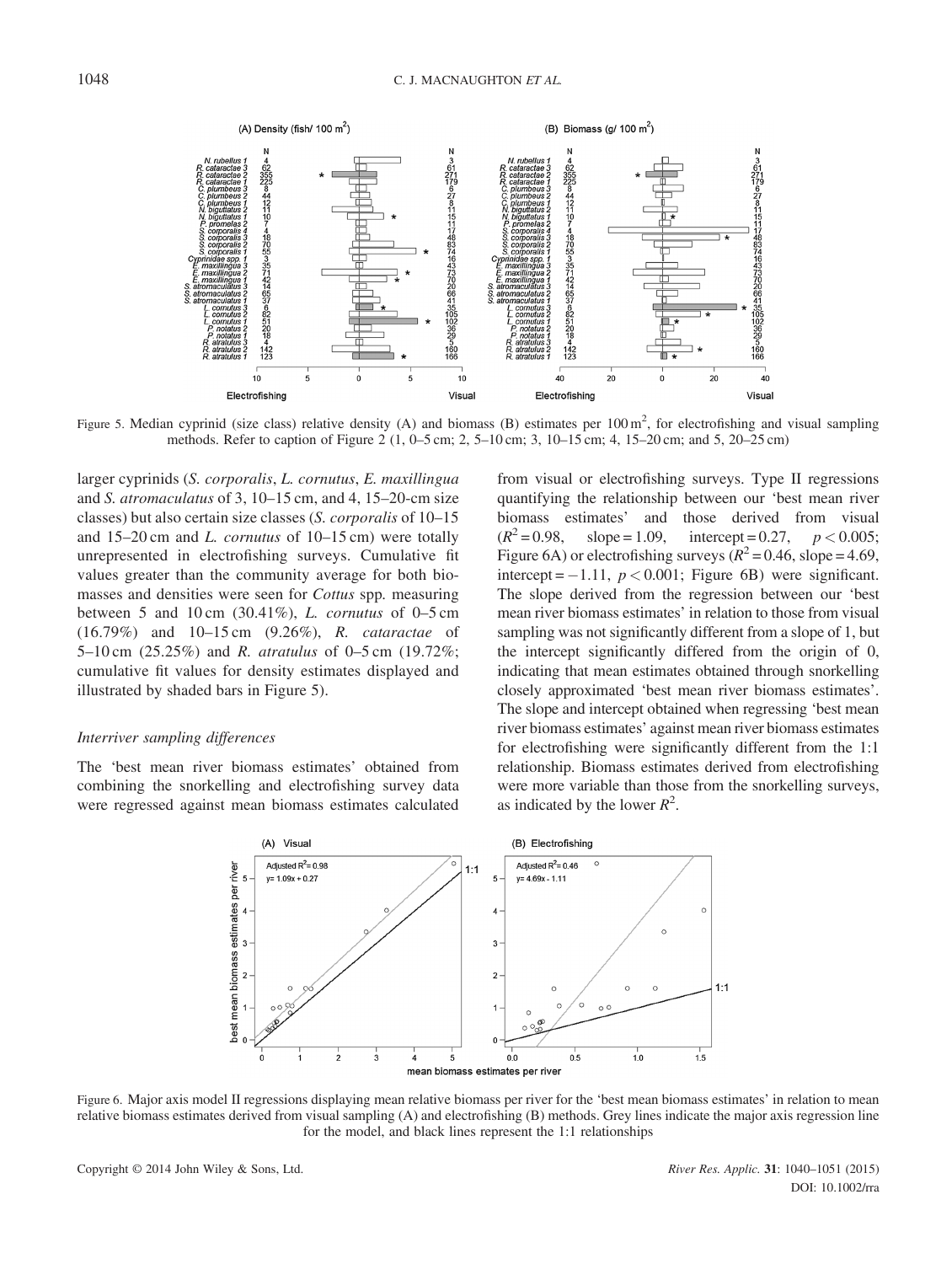

Figure 5. Median cyprinid (size class) relative density (A) and biomass (B) estimates per  $100 \text{ m}^2$ , for electrofishing and visual sampling methods. Refer to caption of Figure 2 (1, 0–5 cm; 2, 5–10 cm; 3, 10–15 cm; 4, 15–20 cm; and 5, 20–25 cm)

larger cyprinids (S. corporalis, L. cornutus, E. maxillingua and S. atromaculatus of 3, 10–15 cm, and 4, 15–20-cm size classes) but also certain size classes (S. corporalis of 10–15 and  $15-20$  cm and L. *cornutus* of  $10-15$  cm) were totally unrepresented in electrofishing surveys. Cumulative fit values greater than the community average for both biomasses and densities were seen for Cottus spp. measuring between 5 and 10 cm  $(30.41\%)$ , *L. cornutus* of 0–5 cm (16.79%) and 10–15 cm (9.26%), R. cataractae of 5–10 cm (25.25%) and R. atratulus of 0–5 cm (19.72%; cumulative fit values for density estimates displayed and illustrated by shaded bars in Figure 5).

## Interriver sampling differences

The 'best mean river biomass estimates' obtained from combining the snorkelling and electrofishing survey data were regressed against mean biomass estimates calculated from visual or electrofishing surveys. Type II regressions quantifying the relationship between our 'best mean river biomass estimates' and those derived from visual  $(R^2 = 0.98,$  slope = 1.09, intercept = 0.27,  $p < 0.005$ ; Figure 6A) or electrofishing surveys ( $R^2$  = 0.46, slope = 4.69, intercept =  $-1.11$ ,  $p < 0.001$ ; Figure 6B) were significant. The slope derived from the regression between our 'best mean river biomass estimates' in relation to those from visual sampling was not significantly different from a slope of 1, but the intercept significantly differed from the origin of 0, indicating that mean estimates obtained through snorkelling closely approximated 'best mean river biomass estimates'. The slope and intercept obtained when regressing 'best mean river biomass estimates' against mean river biomass estimates for electrofishing were significantly different from the 1:1 relationship. Biomass estimates derived from electrofishing were more variable than those from the snorkelling surveys, as indicated by the lower  $R^2$ .



Figure 6. Major axis model II regressions displaying mean relative biomass per river for the 'best mean biomass estimates' in relation to mean relative biomass estimates derived from visual sampling (A) and electrofishing (B) methods. Grey lines indicate the major axis regression line for the model, and black lines represent the 1:1 relationships

DOI: 10.1002/rra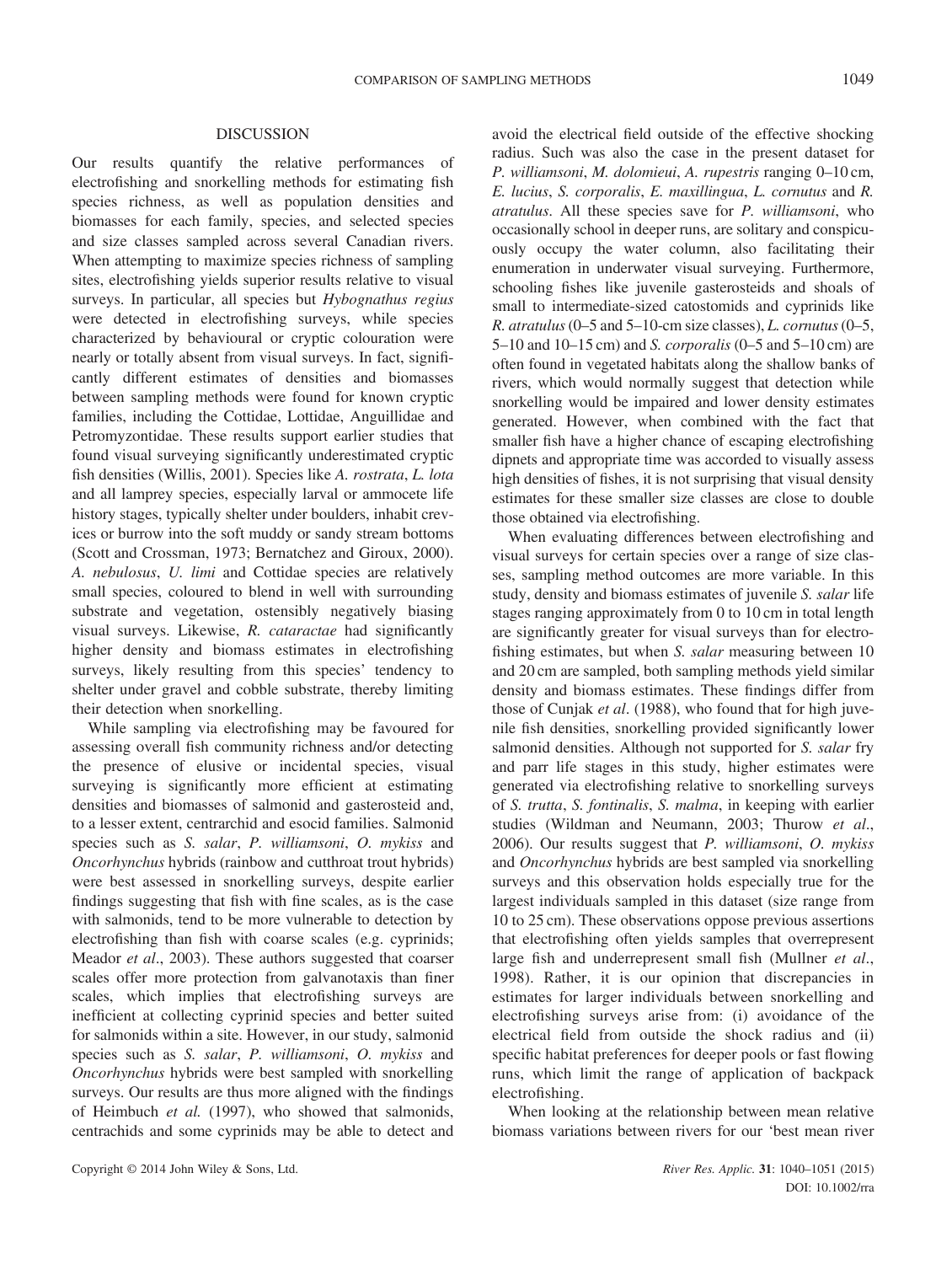## DISCUSSION

Our results quantify the relative performances of electrofishing and snorkelling methods for estimating fish species richness, as well as population densities and biomasses for each family, species, and selected species and size classes sampled across several Canadian rivers. When attempting to maximize species richness of sampling sites, electrofishing yields superior results relative to visual surveys. In particular, all species but Hybognathus regius were detected in electrofishing surveys, while species characterized by behavioural or cryptic colouration were nearly or totally absent from visual surveys. In fact, significantly different estimates of densities and biomasses between sampling methods were found for known cryptic families, including the Cottidae, Lottidae, Anguillidae and Petromyzontidae. These results support earlier studies that found visual surveying significantly underestimated cryptic fish densities (Willis, 2001). Species like A. rostrata, L. lota and all lamprey species, especially larval or ammocete life history stages, typically shelter under boulders, inhabit crevices or burrow into the soft muddy or sandy stream bottoms (Scott and Crossman, 1973; Bernatchez and Giroux, 2000). A. nebulosus, U. limi and Cottidae species are relatively small species, coloured to blend in well with surrounding substrate and vegetation, ostensibly negatively biasing visual surveys. Likewise, R. cataractae had significantly higher density and biomass estimates in electrofishing surveys, likely resulting from this species' tendency to shelter under gravel and cobble substrate, thereby limiting their detection when snorkelling.

While sampling via electrofishing may be favoured for assessing overall fish community richness and/or detecting the presence of elusive or incidental species, visual surveying is significantly more efficient at estimating densities and biomasses of salmonid and gasterosteid and, to a lesser extent, centrarchid and esocid families. Salmonid species such as S. salar, P. williamsoni, O. mykiss and Oncorhynchus hybrids (rainbow and cutthroat trout hybrids) were best assessed in snorkelling surveys, despite earlier findings suggesting that fish with fine scales, as is the case with salmonids, tend to be more vulnerable to detection by electrofishing than fish with coarse scales (e.g. cyprinids; Meador et al., 2003). These authors suggested that coarser scales offer more protection from galvanotaxis than finer scales, which implies that electrofishing surveys are inefficient at collecting cyprinid species and better suited for salmonids within a site. However, in our study, salmonid species such as S. salar, P. williamsoni, O. mykiss and Oncorhynchus hybrids were best sampled with snorkelling surveys. Our results are thus more aligned with the findings of Heimbuch et al. (1997), who showed that salmonids, centrachids and some cyprinids may be able to detect and avoid the electrical field outside of the effective shocking radius. Such was also the case in the present dataset for P. williamsoni, M. dolomieui, A. rupestris ranging 0–10 cm, E. lucius, S. corporalis, E. maxillingua, L. cornutus and R. atratulus. All these species save for P. williamsoni, who occasionally school in deeper runs, are solitary and conspicuously occupy the water column, also facilitating their enumeration in underwater visual surveying. Furthermore, schooling fishes like juvenile gasterosteids and shoals of small to intermediate-sized catostomids and cyprinids like R. atratulus (0–5 and  $5$ –10-cm size classes), L. cornutus (0–5, 5–10 and 10–15 cm) and S. corporalis (0–5 and 5–10 cm) are often found in vegetated habitats along the shallow banks of rivers, which would normally suggest that detection while snorkelling would be impaired and lower density estimates generated. However, when combined with the fact that smaller fish have a higher chance of escaping electrofishing dipnets and appropriate time was accorded to visually assess high densities of fishes, it is not surprising that visual density estimates for these smaller size classes are close to double those obtained via electrofishing.

When evaluating differences between electrofishing and visual surveys for certain species over a range of size classes, sampling method outcomes are more variable. In this study, density and biomass estimates of juvenile S. salar life stages ranging approximately from 0 to 10 cm in total length are significantly greater for visual surveys than for electrofishing estimates, but when S. salar measuring between 10 and 20 cm are sampled, both sampling methods yield similar density and biomass estimates. These findings differ from those of Cunjak et al. (1988), who found that for high juvenile fish densities, snorkelling provided significantly lower salmonid densities. Although not supported for S. salar fry and parr life stages in this study, higher estimates were generated via electrofishing relative to snorkelling surveys of S. trutta, S. fontinalis, S. malma, in keeping with earlier studies (Wildman and Neumann, 2003; Thurow et al., 2006). Our results suggest that P. williamsoni, O. mykiss and Oncorhynchus hybrids are best sampled via snorkelling surveys and this observation holds especially true for the largest individuals sampled in this dataset (size range from 10 to 25 cm). These observations oppose previous assertions that electrofishing often yields samples that overrepresent large fish and underrepresent small fish (Mullner et al., 1998). Rather, it is our opinion that discrepancies in estimates for larger individuals between snorkelling and electrofishing surveys arise from: (i) avoidance of the electrical field from outside the shock radius and (ii) specific habitat preferences for deeper pools or fast flowing runs, which limit the range of application of backpack electrofishing.

When looking at the relationship between mean relative biomass variations between rivers for our 'best mean river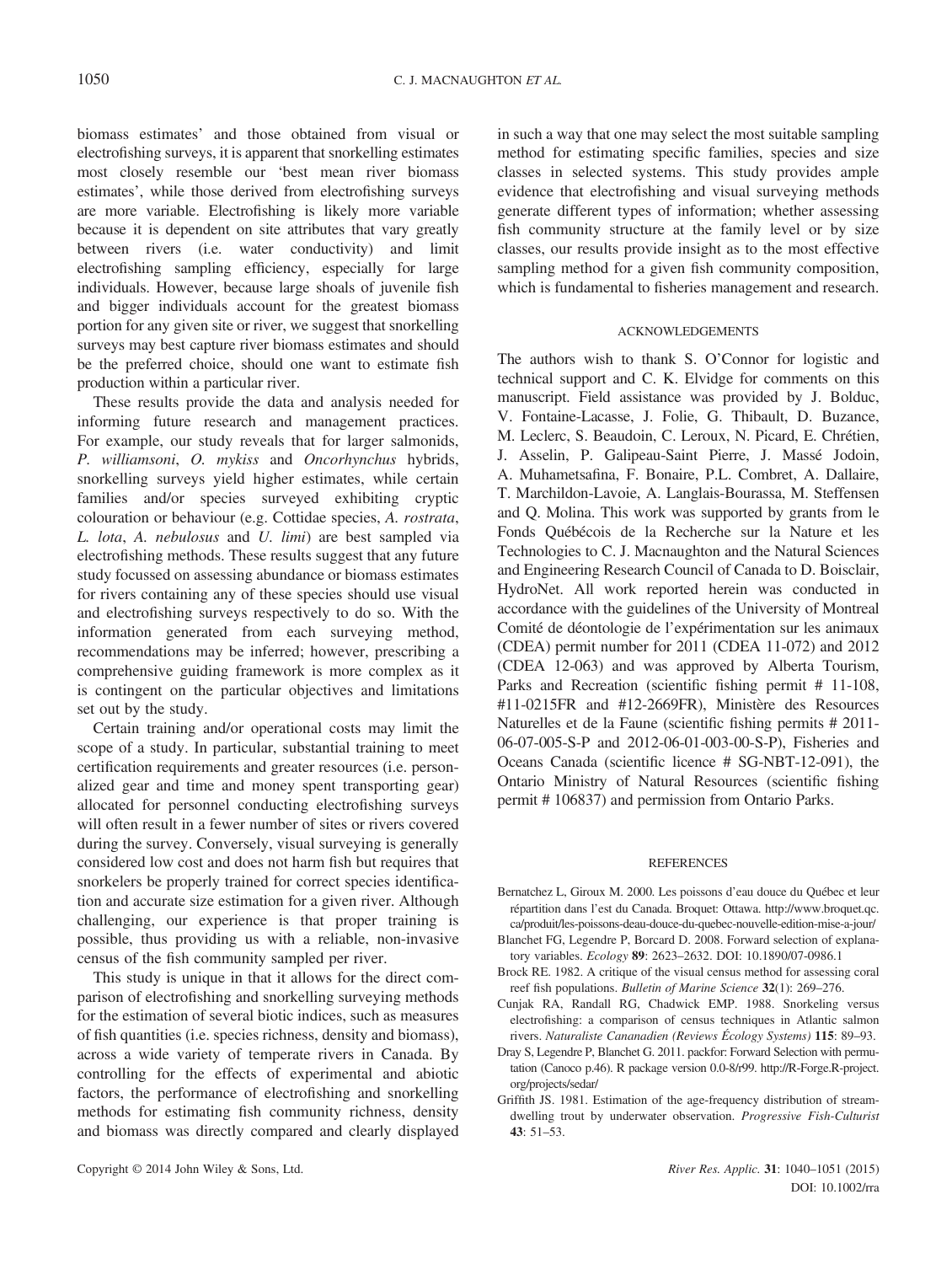biomass estimates' and those obtained from visual or electrofishing surveys, it is apparent that snorkelling estimates most closely resemble our 'best mean river biomass estimates', while those derived from electrofishing surveys are more variable. Electrofishing is likely more variable because it is dependent on site attributes that vary greatly between rivers (i.e. water conductivity) and limit electrofishing sampling efficiency, especially for large individuals. However, because large shoals of juvenile fish and bigger individuals account for the greatest biomass portion for any given site or river, we suggest that snorkelling surveys may best capture river biomass estimates and should be the preferred choice, should one want to estimate fish production within a particular river.

These results provide the data and analysis needed for informing future research and management practices. For example, our study reveals that for larger salmonids, P. williamsoni, O. mykiss and Oncorhynchus hybrids, snorkelling surveys yield higher estimates, while certain families and/or species surveyed exhibiting cryptic colouration or behaviour (e.g. Cottidae species, A. rostrata, L. lota, A. nebulosus and U. limi) are best sampled via electrofishing methods. These results suggest that any future study focussed on assessing abundance or biomass estimates for rivers containing any of these species should use visual and electrofishing surveys respectively to do so. With the information generated from each surveying method, recommendations may be inferred; however, prescribing a comprehensive guiding framework is more complex as it is contingent on the particular objectives and limitations set out by the study.

Certain training and/or operational costs may limit the scope of a study. In particular, substantial training to meet certification requirements and greater resources (i.e. personalized gear and time and money spent transporting gear) allocated for personnel conducting electrofishing surveys will often result in a fewer number of sites or rivers covered during the survey. Conversely, visual surveying is generally considered low cost and does not harm fish but requires that snorkelers be properly trained for correct species identification and accurate size estimation for a given river. Although challenging, our experience is that proper training is possible, thus providing us with a reliable, non-invasive census of the fish community sampled per river.

This study is unique in that it allows for the direct comparison of electrofishing and snorkelling surveying methods for the estimation of several biotic indices, such as measures of fish quantities (i.e. species richness, density and biomass), across a wide variety of temperate rivers in Canada. By controlling for the effects of experimental and abiotic factors, the performance of electrofishing and snorkelling methods for estimating fish community richness, density and biomass was directly compared and clearly displayed

in such a way that one may select the most suitable sampling method for estimating specific families, species and size classes in selected systems. This study provides ample evidence that electrofishing and visual surveying methods generate different types of information; whether assessing fish community structure at the family level or by size classes, our results provide insight as to the most effective sampling method for a given fish community composition, which is fundamental to fisheries management and research.

#### ACKNOWLEDGEMENTS

The authors wish to thank S. O'Connor for logistic and technical support and C. K. Elvidge for comments on this manuscript. Field assistance was provided by J. Bolduc, V. Fontaine-Lacasse, J. Folie, G. Thibault, D. Buzance, M. Leclerc, S. Beaudoin, C. Leroux, N. Picard, E. Chrétien, J. Asselin, P. Galipeau-Saint Pierre, J. Massé Jodoin, A. Muhametsafina, F. Bonaire, P.L. Combret, A. Dallaire, T. Marchildon-Lavoie, A. Langlais-Bourassa, M. Steffensen and Q. Molina. This work was supported by grants from le Fonds Québécois de la Recherche sur la Nature et les Technologies to C. J. Macnaughton and the Natural Sciences and Engineering Research Council of Canada to D. Boisclair, HydroNet. All work reported herein was conducted in accordance with the guidelines of the University of Montreal Comité de déontologie de l'expérimentation sur les animaux (CDEA) permit number for 2011 (CDEA 11-072) and 2012 (CDEA 12-063) and was approved by Alberta Tourism, Parks and Recreation (scientific fishing permit # 11-108, #11-0215FR and #12-2669FR), Ministère des Resources Naturelles et de la Faune (scientific fishing permits # 2011- 06-07-005-S-P and 2012-06-01-003-00-S-P), Fisheries and Oceans Canada (scientific licence # SG-NBT-12-091), the Ontario Ministry of Natural Resources (scientific fishing permit # 106837) and permission from Ontario Parks.

#### **REFERENCES**

- Bernatchez L, Giroux M. 2000. Les poissons d'eau douce du Québec et leur répartition dans l'est du Canada. Broquet: Ottawa. [http://www.broquet.qc.](http://R-Forge.R-project.org/projects/sedar/) [ca/produit/les-poissons-deau-douce-du-quebec-nouvelle-edition-mise-a-jour/](http://R-Forge.R-project.org/projects/sedar/)
- Blanchet FG, Legendre P, Borcard D. 2008. Forward selection of explanatory variables. Ecology 89: 2623–2632. DOI: 10.1890/07-0986.1
- Brock RE. 1982. A critique of the visual census method for assessing coral reef fish populations. Bulletin of Marine Science 32(1): 269–276.
- Cunjak RA, Randall RG, Chadwick EMP. 1988. Snorkeling versus electrofishing: a comparison of census techniques in Atlantic salmon rivers. Naturaliste Cananadien (Reviews Écology Systems) 115: 89–93.
- Dray S, Legendre P, Blanchet G. 2011. packfor: Forward Selection with permutation (Canoco p.46). R package version 0.0-8/r99. [http://R-Forge.R-project.](http://R-Forge.R-project.org/projects/sedar/) [org/projects/sedar/](http://R-Forge.R-project.org/projects/sedar/)
- Griffith JS. 1981. Estimation of the age-frequency distribution of streamdwelling trout by underwater observation. Progressive Fish-Culturist 43: 51–53.